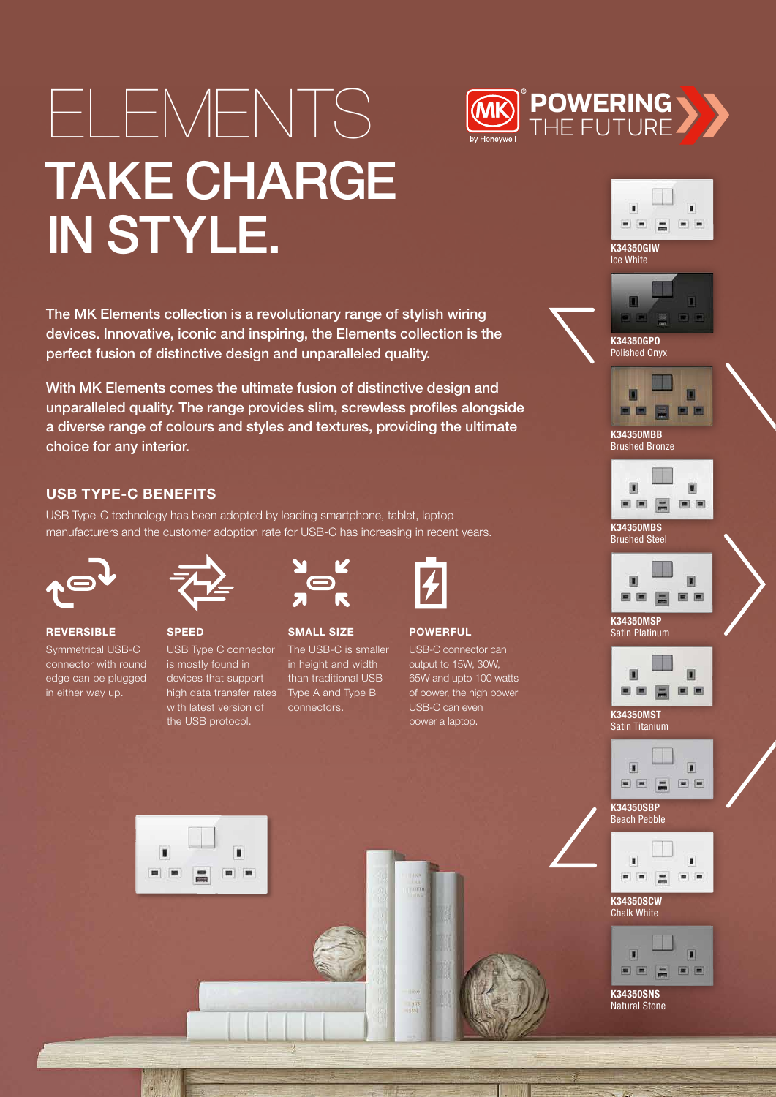# ELEMENTS TAKE CHARGE IN STYLE.

The MK Elements collection is a revolutionary range of stylish wiring devices. Innovative, iconic and inspiring, the Elements collection is the perfect fusion of distinctive design and unparalleled quality.

With MK Elements comes the ultimate fusion of distinctive design and unparalleled quality. The range provides slim, screwless profiles alongside a diverse range of colours and styles and textures, providing the ultimate choice for any interior.

## USB TYPE-C BENEFITS

USB Type-C technology has been adopted by leading smartphone, tablet, laptop manufacturers and the customer adoption rate for USB-C has increasing in recent years.



**REVERSIBLE** Symmetrical USB-C connector with round

edge can be plugged in either way up.



USB Type C connector is mostly found in devices that support high data transfer rates with latest version of the USB protocol.



SMALL SIZE The USB-C is smaller in height and width than traditional USB Type A and Type B connectors.



**POWERFUL** 

USB-C connector can output to 15W, 30W, 65W and upto 100 watts of power, the high power USB-C can even power a laptop.



K34350GIW Ice White

**POWERING**  THE FUTURE



K34350GPO Polished Onyx



K34350MBB Brushed Bronze



K34350MBS Brushed Steel



K34350MSP Satin Platinum



K34350MST Satin Titanium





K34350SCW Chalk White



Natural Stone